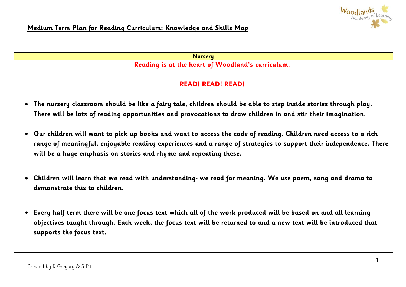

**Nursery Reading is at the heart of Woodland's curriculum.**

## **READ! READ! READ!**

- **The nursery classroom should be like a fairy tale, children should be able to step inside stories through play. There will be lots of reading opportunities and provocations to draw children in and stir their imagination.**
- **Our children will want to pick up books and want to access the code of reading. Children need access to a rich range of meaningful, enjoyable reading experiences and a range of strategies to support their independence. There will be a huge emphasis on stories and rhyme and repeating these.**
- **Children will learn that we read with understanding- we read for meaning. We use poem, song and drama to demonstrate this to children.**
- **Every half term there will be one focus text which all of the work produced will be based on and all learning objectives taught through. Each week, the focus text will be returned to and a new text will be introduced that supports the focus text.**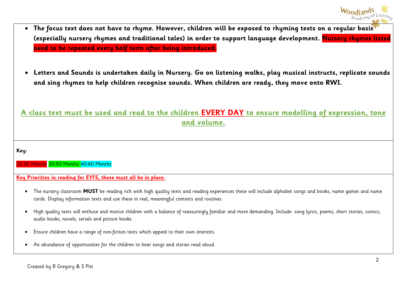

- **The focus text does not have to rhyme. However, children will be exposed to rhyming texts on a regular basis (especially nursery rhymes and traditional tales) in order to support language development. Nursery rhymes listed need to be repeated every half term after being introduced.**
- **Letters and Sounds is undertaken daily in Nursery. Go on listening walks, play musical instructs, replicate sounds and sing rhymes to help children recognise sounds. When children are ready, they move onto RWI.**

## **A class text must be used and read to the children EVERY DAY to ensure modelling of expression, tone and volume.**

**Key:**

22-36 Months 30-50 Months 40-60 Months

#### **Key Priorities in reading for EYFS, these must all be in place.**

- The nursery classroom **MUST** be reading rich with high quality texts and reading experiences these will include alphabet songs and books, name games and name cards. Display information texts and use these in real, meaningful contexts and routines.
- High quality texts will enthuse and motive children with a balance of reassuringly familiar and more demanding. Include- song lyrics, poems, short stories, comics, audio books, novels, serials and picture books.
- Ensure children have a range of non-fiction texts which appeal to their own interests.
- An abundance of opportunities for the children to hear songs and stories read aloud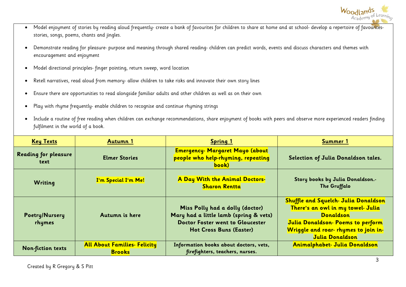

- Model enjoyment of stories by reading aloud frequently- create a bank of favourites for children to share at home and at school- develop a repertoire of favouritesstories, songs, poems, chants and jingles.
- Demonstrate reading for pleasure- purpose and meaning through shared reading- children can predict words, events and discuss characters and themes with encouragement and enjoyment
- Model directional principles- finger pointing, return sweep, word location
- Retell narratives, read aloud from memory- allow children to take risks and innovate their own story lines
- Ensure there are opportunities to read alongside familiar adults and other children as well as on their own
- Play with rhyme frequently- enable children to recognise and continue rhyming strings
- Include a routine of free reading when children can exchange recommendations, share enjoyment of books with peers and observe more experienced readers finding fulfilment in the world of a book.

| <b>Key Texts</b>                    | Autumn 1                                             | <b>Spring 1</b>                                                                                                                                        | Summer 1                                                                                                                                                                                             |  |
|-------------------------------------|------------------------------------------------------|--------------------------------------------------------------------------------------------------------------------------------------------------------|------------------------------------------------------------------------------------------------------------------------------------------------------------------------------------------------------|--|
| <b>Reading for pleasure</b><br>text | <b>Elmer Stories</b>                                 | <b>Emergency- Margaret Mayo (about</b><br>people who help-rhyming, repeating<br>book)                                                                  | Selection of Julia Donaldson tales.                                                                                                                                                                  |  |
| Writing                             | I'm Special I'm Me!                                  | A Day With the Animal Doctors-<br>Story books by Julia Donaldson.-<br>The Gruffalo<br><b>Sharon Rentta</b>                                             |                                                                                                                                                                                                      |  |
| <b>Poetry/Nursery</b><br>rhymes     | Autumn is here                                       | Miss Polly had a dolly (doctor)<br>Mary had a little lamb (spring & vets)<br><b>Doctor Foster went to Gloucester</b><br><b>Hot Cross Buns (Easter)</b> | <b>Shuffle and Squelch- Julia Donaldson</b><br>There's an owl in my towel- Julia<br><b>Donaldson</b><br>Julia Donaldson- Poems to perform<br>Wriggle and roar- rhymes to join in-<br>Julia Donaldson |  |
| <b>Non-fiction texts</b>            | <b>All About Families- Felicity</b><br><b>Brooks</b> | Information books about doctors, vets,<br>firefighters, teachers, nurses.                                                                              | Animalphabet- Julia Donaldson                                                                                                                                                                        |  |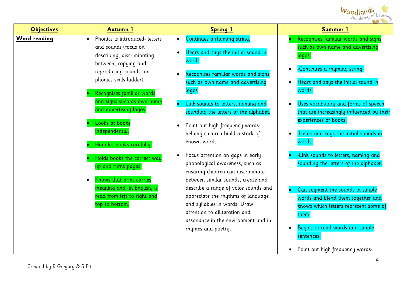

| <b>Objectives</b>   | <b>Autumn 1</b>                                                                                                                                                                                                                                                                                                                                                                                                     | <b>Spring 1</b>                                                                                                                                                                                                                                                                                                                                                                                                                                                                                                    | Summer 1                                                                                                                                                                                                                                                                                                                                                                                                           |
|---------------------|---------------------------------------------------------------------------------------------------------------------------------------------------------------------------------------------------------------------------------------------------------------------------------------------------------------------------------------------------------------------------------------------------------------------|--------------------------------------------------------------------------------------------------------------------------------------------------------------------------------------------------------------------------------------------------------------------------------------------------------------------------------------------------------------------------------------------------------------------------------------------------------------------------------------------------------------------|--------------------------------------------------------------------------------------------------------------------------------------------------------------------------------------------------------------------------------------------------------------------------------------------------------------------------------------------------------------------------------------------------------------------|
| <b>Word reading</b> | Phonics is introduced-letters<br>$\bullet$<br>and sounds (focus on<br>describing, discriminating<br>between, copying and<br>reproducing sounds- on<br>phonics skills ladder)<br>Recognises familiar words<br>and signs such as own name<br>and advertising logos.<br>Looks at books<br>independently.<br>Handles books carefully.<br>Holds books the correct way<br>up and turns pages.<br>Knows that print carries | Continues a rhyming string.<br>$\bullet$<br>Hears and says the initial sound in<br>words<br>Recognises familiar words and signs<br>such as own name and advertising<br>logos<br>Link sounds to letters, naming and<br>sounding the letters of the alphabet.<br>Point out high frequency words-<br>helping children build a stock of<br>known words<br>Focus attention on gaps in early<br>$\bullet$<br>phonological awareness, such as<br>ensuring children can discriminate<br>between similar sounds, create and | Recognises familiar words and signs<br>such as own name and advertising<br>logos.<br>-Continues a rhyming string.<br>Hears and says the initial sound in<br>words.<br>Uses vocabulary and forms of speech<br>that are increasingly influenced by their<br>experiences of books.<br>-Hears and says the initial sounds in<br>words.<br>-Link sounds to letters, naming and<br>sounding the letters of the alphabet. |
|                     | meaning and, in English, is<br>read from left to right and<br>top to bottom.                                                                                                                                                                                                                                                                                                                                        | describe a range of voice sounds and<br>appreciate the rhythms of language<br>and syllables in words. Draw<br>attention to alliteration and<br>assonance in the environment and in<br>rhymes and poetry.                                                                                                                                                                                                                                                                                                           | Can segment the sounds in simple<br>words and blend them together and<br>knows which letters represent some of<br>them.<br>Begins to read words and simple<br>sentences.<br>Point out high frequency words-<br>$\bullet$                                                                                                                                                                                           |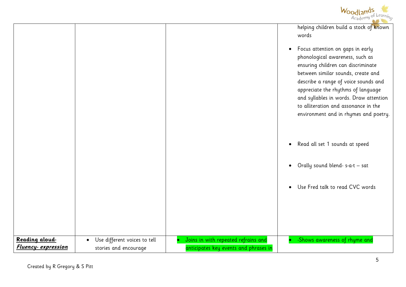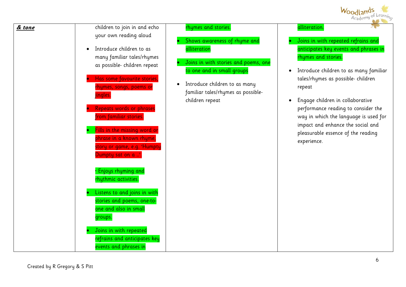

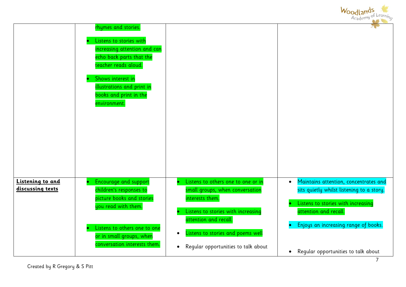|                                      |                                                                                                                                                                                                                                 |                                                                                                                                                                                                                                                               | Woodlands<br>Academy of Learning                                                                                                                                                                                                              |
|--------------------------------------|---------------------------------------------------------------------------------------------------------------------------------------------------------------------------------------------------------------------------------|---------------------------------------------------------------------------------------------------------------------------------------------------------------------------------------------------------------------------------------------------------------|-----------------------------------------------------------------------------------------------------------------------------------------------------------------------------------------------------------------------------------------------|
|                                      | rhymes and stories.<br>Listens to stories with<br>increasing attention and can<br>echo back parts that the<br>teacher reads aloud.<br>Shows interest in<br>illustrations and print in<br>books and print in the<br>environment. |                                                                                                                                                                                                                                                               |                                                                                                                                                                                                                                               |
| Listening to and<br>discussing texts | <b>Encourage and support</b><br>children's responses to<br>picture books and stories<br>you read with them.<br>Listens to others one to one<br>or in small groups, when<br>conversation interests them.                         | Listens to others one to one or in<br>small groups, when conversation<br>interests them.<br>Listens to stories with increasing<br>attention and recall.<br>Listens to stories and poems well<br>$\bullet$<br>Regular opportunities to talk about<br>$\bullet$ | Maintains attention, concentrates and<br>$\bullet$<br>sits quietly whilst listening to a story.<br>Listens to stories with increasing<br>attention and recall.<br>Enjoys an increasing range of books.<br>Regular opportunities to talk about |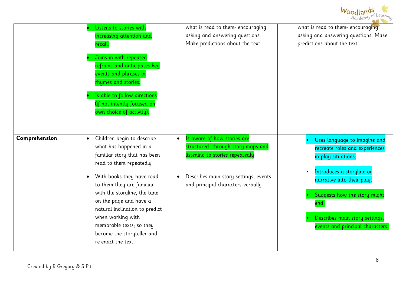

|               | Listens to stories with<br>increasing attention and<br>recall.<br>Joins in with repeated<br>refrains and anticipates key<br>events and phrases in<br>rhymes and stories.<br>Is able to follow directions<br>(if not intently focused on<br>own choice of activity).                                                                                                                     | what is read to them- encouraging<br>asking and answering questions.<br>Make predictions about the text.                                                                           | what is read to them- encouraging<br>asking and answering questions. Make<br>predictions about the text.                                                                                                                                                      |
|---------------|-----------------------------------------------------------------------------------------------------------------------------------------------------------------------------------------------------------------------------------------------------------------------------------------------------------------------------------------------------------------------------------------|------------------------------------------------------------------------------------------------------------------------------------------------------------------------------------|---------------------------------------------------------------------------------------------------------------------------------------------------------------------------------------------------------------------------------------------------------------|
| Comprehension | Children begin to describe<br>$\bullet$<br>what has happened in a<br>familiar story that has been<br>read to them repeatedly<br>With books they have read<br>to them they are familiar<br>with the storyline, the tune<br>on the page and have a<br>natural inclination to predict<br>when working with<br>memorable texts; so they<br>become the storyteller and<br>re-enact the text. | Is aware of how stories are<br>structured- through story maps and<br>listening to stories repeatedly<br>Describes main story settings, events<br>and principal characters verbally | Uses language to imagine and<br>recreate roles and experiences<br>in play situations.<br>Introduces a storyline or<br>narrative into their play.<br>Suggests how the story might<br>end<br>Describes main story settings,<br>events and principal characters. |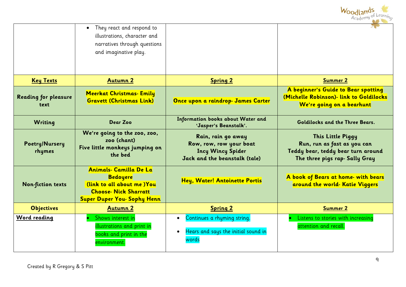

|                                     | They react and respond to<br>$\bullet$<br>illustrations, character and<br>narratives through questions<br>and imaginative play.               |                                                                                                            |                                                                                                                          |
|-------------------------------------|-----------------------------------------------------------------------------------------------------------------------------------------------|------------------------------------------------------------------------------------------------------------|--------------------------------------------------------------------------------------------------------------------------|
| <u>Key Texts</u>                    | <b>Autumn 2</b>                                                                                                                               | <b>Spring 2</b>                                                                                            | <b>Summer 2</b>                                                                                                          |
| <b>Reading for pleasure</b><br>text | <b>Meerkat Christmas- Emily</b><br><b>Gravett (Christmas Link)</b>                                                                            | Once upon a raindrop- James Carter                                                                         | A beginner's Guide to Bear spotting<br>(Michelle Robinson) link to Goldilocks<br>We're going on a bearhunt               |
| Writing                             | Dear Zoo                                                                                                                                      | Information books about Water and<br>'Jasper's Beanstalk'.                                                 | Goldilocks and the Three Bears.                                                                                          |
| Poetry/Nursery<br>rhymes            | We're going to the zoo, zoo,<br>zoo (chant)<br>Five little monkeys jumping on<br>the bed                                                      | Rain, rain go away<br>Row, row, row your boat<br><b>Incy Wincy Spider</b><br>Jack and the beanstalk (tale) | This Little Piggy<br>Run, run as fast as you can<br>Teddy bear, teddy bear turn around<br>The three pigs rap- Sally Gray |
| <b>Non-fiction texts</b>            | Animals- Camilla De La<br><b>Bedoyere</b><br>(link to all about me) You<br><b>Choose- Nick Sharratt</b><br><b>Super Duper You- Sophy Henn</b> | Hey, Water! Antoinette Portis                                                                              | A book of Bears at home- with bears<br>around the world- Katie Viggers                                                   |
| <b>Objectives</b>                   | <b>Autumn 2</b>                                                                                                                               | <b>Spring 2</b>                                                                                            | <b>Summer 2</b>                                                                                                          |
| Word reading                        | Shows interest in<br>illustrations and print in<br>books and print in the<br>environment.                                                     | Continues a rhyming string.<br>$\bullet$<br>Hears and says the initial sound in<br>words                   | Listens to stories with increasing<br>attention and recall.                                                              |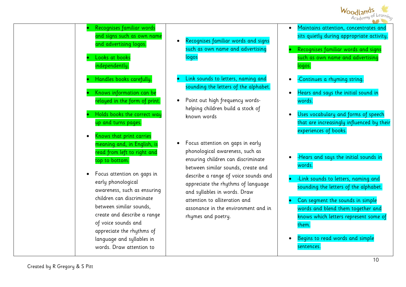

- Recognises familiar words and signs such as own name and advertising logos.
	- Looks at books independently.
	- Handles books carefully.
- Knows information can be relayed in the form of print.
- Holds books the correct way up and turns pages.
- Knows that print carries meaning and, in English, is read from left to right and top to bottom.
- Focus attention on gaps in early phonological awareness, such as ensuring children can discriminate between similar sounds, create and describe a range of voice sounds and appreciate the rhythms of language and syllables in words. Draw attention to
- Recognises familiar words and signs such as own name and advertising logos
- Link sounds to letters, naming and sounding the letters of the alphabet.
- Point out high frequency wordshelping children build a stock of known words
- Focus attention on gaps in early phonological awareness, such as ensuring children can discriminate between similar sounds, create and describe a range of voice sounds and appreciate the rhythms of language and syllables in words. Draw attention to alliteration and assonance in the environment and in rhymes and poetry.
- Maintains attention, concentrates and sits quietly during appropriate activity.
- Recognises familiar words and signs such as own name and advertising logos.
- -Continues a rhyming string.
- Hears and says the initial sound in words.
- Uses vocabulary and forms of speech that are increasingly influenced by their experiences of books.
- -Hears and says the initial sounds in words.
- -Link sounds to letters, naming and sounding the letters of the alphabet.
- Can segment the sounds in simple words and blend them together and knows which letters represent some of them.
- Begins to read words and simple sentences.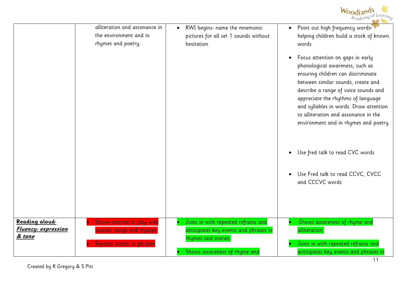

|                                                                    | alliteration and assonance in<br>the environment and in<br>rhymes and poetry.               | RWI begins- name the mnemonic<br>$\bullet$<br>pictures for all set 1 sounds without<br>hesitation                                   | Point out high frequency words-<br>$\bullet$<br>helping children build a stock of known<br>words                                                                                                                                                                                                                                                                      |
|--------------------------------------------------------------------|---------------------------------------------------------------------------------------------|-------------------------------------------------------------------------------------------------------------------------------------|-----------------------------------------------------------------------------------------------------------------------------------------------------------------------------------------------------------------------------------------------------------------------------------------------------------------------------------------------------------------------|
|                                                                    |                                                                                             |                                                                                                                                     | Focus attention on gaps in early<br>$\bullet$<br>phonological awareness, such as<br>ensuring children can discriminate<br>between similar sounds, create and<br>describe a range of voice sounds and<br>appreciate the rhythms of language<br>and syllables in words. Draw attention<br>to alliteration and assonance in the<br>environment and in rhymes and poetry. |
|                                                                    |                                                                                             |                                                                                                                                     | Use fred talk to read CVC words                                                                                                                                                                                                                                                                                                                                       |
|                                                                    |                                                                                             |                                                                                                                                     | Use Fred talk to read CCVC, CVCC<br>$\bullet$<br>and CCCVC words                                                                                                                                                                                                                                                                                                      |
| Reading aloud-<br><u> Fluency- expression</u><br><u>&amp; tone</u> | Shows interest in play with<br>sounds, songs and rhymes.<br><b>Repeats words or phrases</b> | Joins in with repeated refrains and<br>anticipates key events and phrases in<br>rhymes and stories.<br>Shows awareness of rhyme and | -Shows awareness of rhyme and<br>alliteration.<br>Joins in with repeated refrains and<br>anticipates key events and phrases in                                                                                                                                                                                                                                        |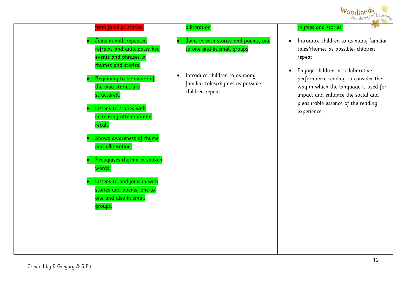



#### alliteration

- Joins in with stories and poems, one to one and in small groups
- Introduce children to as many familiar tales/rhymes as possiblechildren repeat

#### rhymes and stories.

- Introduce children to as many familiar tales/rhymes as possible- children repeat
- Engage children in collaborative performance reading to consider the way in which the language is used for impact and enhance the social and pleasurable essence of the reading experience.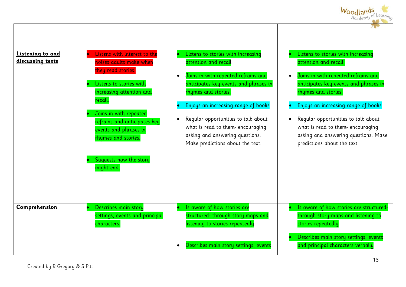

| Listening to and<br>discussing texts | Listens with interest to the<br>noises adults make when<br>they read stories.<br>Listens to stories with<br>increasing attention and<br>recall.<br>Joins in with repeated<br>refrains and anticipates key<br>events and phrases in<br>rhymes and stories.<br>Suggests how the story<br>might end. | Listens to stories with increasing<br>attention and recall<br>Joins in with repeated refrains and<br>anticipates key events and phrases in<br>rhymes and stories.<br>Enjoys an increasing range of books<br>Regular opportunities to talk about<br>what is read to them- encouraging<br>asking and answering questions.<br>Make predictions about the text. | Listens to stories with increasing<br>attention and recall.<br>Joins in with repeated refrains and<br>anticipates key events and phrases in<br>rhymes and stories.<br>Enjoys an increasing range of books<br>Regular opportunities to talk about<br>what is read to them- encouraging<br>asking and answering questions. Make<br>predictions about the text. |
|--------------------------------------|---------------------------------------------------------------------------------------------------------------------------------------------------------------------------------------------------------------------------------------------------------------------------------------------------|-------------------------------------------------------------------------------------------------------------------------------------------------------------------------------------------------------------------------------------------------------------------------------------------------------------------------------------------------------------|--------------------------------------------------------------------------------------------------------------------------------------------------------------------------------------------------------------------------------------------------------------------------------------------------------------------------------------------------------------|
| Comprehension                        | Describes main story<br>settings, events and principal<br>characters.                                                                                                                                                                                                                             | Is aware of how stories are<br>structured- through story maps and<br>listening to stories repeatedly<br>Describes main story settings, events                                                                                                                                                                                                               | Is aware of how stories are structured-<br>through story maps and listening to<br>stories repeatedly<br>Describes main story settings, events<br>and principal characters verbally                                                                                                                                                                           |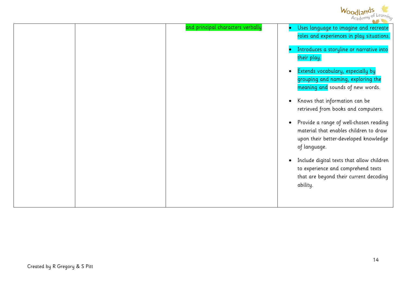

| and principal characters verbally | Uses language to imagine and recreate                                                        |
|-----------------------------------|----------------------------------------------------------------------------------------------|
|                                   | roles and experiences in play situations.                                                    |
|                                   | Introduces a storyline or narrative into                                                     |
|                                   | their play.                                                                                  |
|                                   | Extends vocabulary, especially by<br>$\bullet$                                               |
|                                   | grouping and naming, exploring the                                                           |
|                                   | meaning and sounds of new words.                                                             |
|                                   | Knows that information can be                                                                |
|                                   | retrieved from books and computers.                                                          |
|                                   | Provide a range of well-chosen reading<br>$\bullet$                                          |
|                                   | material that enables children to draw                                                       |
|                                   | upon their better-developed knowledge<br>of language.                                        |
|                                   |                                                                                              |
|                                   | Include digital texts that allow children<br>$\bullet$<br>to experience and comprehend texts |
|                                   | that are beyond their current decoding                                                       |
|                                   | ability.                                                                                     |
|                                   |                                                                                              |
|                                   |                                                                                              |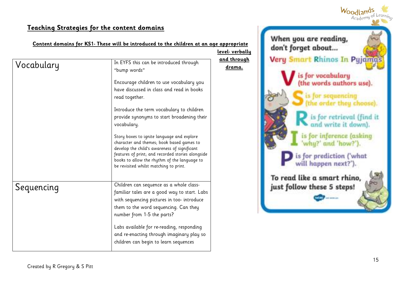#### **Teaching Strategies for the content domains**

#### **Content domains for KS1- These will be introduced to the children at an age appropriate level- verbally and through**  Vocabulary and In EYFS this can be introduced through and the state of the state of the state of the state of the state of the state of the state of the state of the state of the state of the state of the state of the stat In EYFS this can be introduced through "bump words" Encourage children to use vocabulary you have discussed in class and read in books read together. Introduce the term vocabulary to children provide synonyms to start broadening their vocabulary. Story boxes to ignite language and explore character and themes; book based games to develop the child's awareness of significant features of print; and recorded stories alongside books to allow the rhythm of the language to be revisited whilst matching to print. Sequencing Children can sequence as a whole classfamiliar tales are a good way to start. Labs with sequencing pictures in too- introduce them to the word sequencing. Can they number from 1-5 the parts? Labs available for re-reading, responding and re-enacting through imaginary play so children can begin to learn sequences

When you are reading, don't forget about... **Very Smart Rhinos In Pyjam** is for vocabulary (the words authors use) for sequencino is for retrieval (find it and write it down). is for inference (asking hu?' and 'how?'). is for prediction ('what will happen next?'). To read like a smart rhino, just follow these 5 steps!

Woodlal

Academy of Learn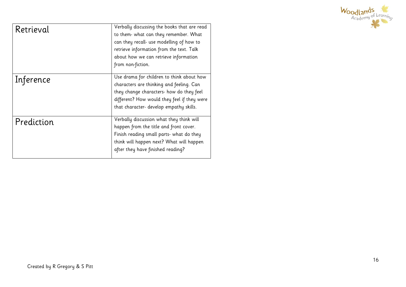

| Retrieval  | Verbally discussing the books that are read<br>to them- what can they remember. What<br>can they recall- use modelling of how to<br>retrieve information from the text. Talk<br>about how we can retrieve information<br>from non-fiction. |
|------------|--------------------------------------------------------------------------------------------------------------------------------------------------------------------------------------------------------------------------------------------|
| Inference  | Use drama for children to think about how<br>characters are thinking and feeling. Can<br>they change characters- how do they feel<br>different? How would they feel if they were<br>that character- develop empathy skills.                |
| Prediction | Verbally discussion what they think will<br>happen from the title and front cover.<br>Finish reading small parts- what do they<br>think will happen next? What will happen<br>after they have finished reading?                            |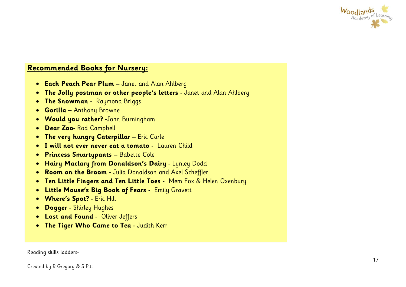

### **Recommended Books for Nursery :**

- **Each Peach Pear Plum –** Janet and Alan Ahlberg
- **The Jolly postman or other people's letters -** Janet and Alan Ahlberg
- **The Snowman** Raymond Briggs
- **Gorilla –** Anthony Browne
- **Would you rather? -**John Burningham
- **Dear Zoo -** Rod Campbell
- **The very hungry Caterpillar –** Eric Carle
- **I will not ever never eat a tomato** Lauren Child
- **Princess Smartypants –** Babette Cole
- **[Hairy Maclary from Donaldson's](http://www.booktrust.org.uk/books/view/30536) Dairy -** Lynley Dodd
- **[Room on the Broom](http://www.booktrust.org.uk/books/view/28735) -** Julia Donaldson and Axel Scheffler
- **[Ten Little Fingers and Ten Little Toes](http://www.booktrust.org.uk/books/view/29128)** Mem Fox & Helen Oxenbury
- **[Little Mouse's Big Book of Fears](http://www.booktrust.org.uk/books/view/26923)** Emily Gravett
- **[Where's Spot?](http://www.booktrust.org.uk/books/view/24855) -** Eric Hill
- **[Dogger](http://www.booktrust.org.uk/books/view/24861) -** Shirley Hughes
- **[Lost and Found](http://www.booktrust.org.uk/books/view/25161)** Oliver Jeffers
- **[The Tiger Who Came to Tea](http://www.booktrust.org.uk/books/view/24800) -** Judith Kerr

Reading skills ladders -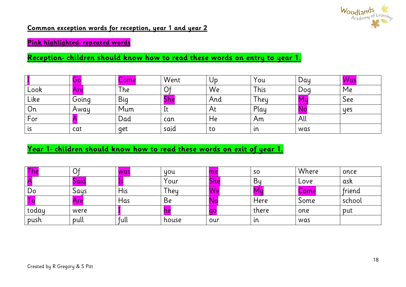

### **Common exception words for reception, year 1 and year 2**

#### **Pink highlighted- repeated words**

## **Reception- children should know how to read these words on entry to year 1.**

|      | U0    | Zome | Went           | Up  | You              | Day | Was |
|------|-------|------|----------------|-----|------------------|-----|-----|
| Look | Arel  | The  | O <sub>f</sub> | We  | This             | Dog | Me  |
| Like | Going | Big  | <b>She</b>     | And | <sup>r</sup> heu | Mu  | See |
| On   | Away  | Mum  | It             | At  | Play             | No  | yes |
| For  |       | Dad  | can            | He  | Am               | All |     |
| ιs   | cat   | get  | said           | to  | ın               | was |     |

# **Year 1- children should know how to read these words on exit of year 1.**

| <b>The</b>              | O'   | was  | uou   | me              | <sub>SO</sub> | Where | once   |
|-------------------------|------|------|-------|-----------------|---------------|-------|--------|
| $\overline{\mathsf{A}}$ | Said |      | Your  | $\sim$ 1<br>She | Bų            | Love  | ask    |
| Do                      | Saus | His  | They  | We              | Mu            | Come  | friend |
| $\blacksquare$          | Are  | Has  | Be    | No.             | Here          | Some  | school |
| today                   | were |      | he    | <b>go</b>       | there         | one   | put    |
| push                    | pull | full | house | our             | ้เท           | was   |        |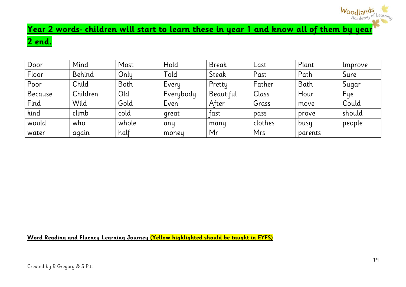

# **Year 2 words- children will start to learn these in year 1 and know all of them by year**

# **2 end.**

| Door           | Mind     | Most        | Hold      | <b>Break</b> | Last    | Plant   | Improve |
|----------------|----------|-------------|-----------|--------------|---------|---------|---------|
| Floor          | Behind   | Only        | Told      | Steak        | Past    | Path    | Sure    |
| Poor           | Child    | <b>Both</b> | Every     | Pretty       | Father  | Bath    | Sugar   |
| <b>Because</b> | Children | Old         | Everybody | Beautiful    | Class   | Hour    | Eue     |
| Find           | Wild     | Gold        | Even      | After        | Grass   | move    | Could   |
| kind           | climb    | cold        | great     | fast         | pass    | prove   | should  |
| would          | who      | whole       | any       | many         | clothes | busy    | people  |
| water          | again    | half        | money     | Mr           | Mrs     | parents |         |

**Word Reading and Fluency Learning Journey (Yellow highlighted should be taught in EYFS)**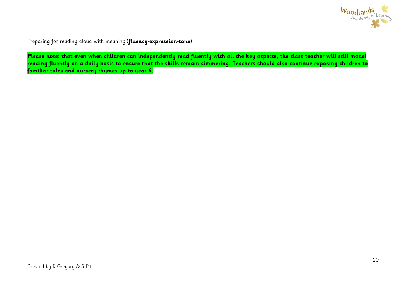

Preparing for reading aloud with meaning (**fluency-expression-tone**)

**Please note: that even when children can independently read fluently with all the key aspects, the class teacher will still model reading fluently on a daily basis to ensure that the skills remain simmering. Teachers should also continue exposing children to familiar tales and nursery rhymes up to year 6.**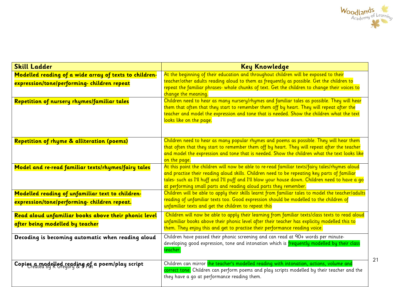

21

| <b>Skill Ladder</b>                                                                                                                                  | <b>Key Knowledge</b>                                                                                                                                                                                                                                                                                                                                                                                     |
|------------------------------------------------------------------------------------------------------------------------------------------------------|----------------------------------------------------------------------------------------------------------------------------------------------------------------------------------------------------------------------------------------------------------------------------------------------------------------------------------------------------------------------------------------------------------|
| Modelled reading of a wide array of texts to children-<br>expression/tone/performing- children repeat<br>Repetition of nursery rhymes/familiar tales | At the beginning of their education and throughout children will be exposed to their<br>teacher/other adults reading aloud to them as frequently as possible. Get the children to<br>repeat the familiar phrases- whole chunks of text. Get the children to change their voices to<br>change the meaning.<br>Children need to hear as many nursery/rhymes and familiar tales as possible. They will hear |
|                                                                                                                                                      | them that often that they start to remember them off by heart. They will repeat after the<br>teacher and model the expression and tone that is needed. Show the children what the text<br>looks like on the page.                                                                                                                                                                                        |
| Repetition of rhyme & alliteration (poems)                                                                                                           | Children need to hear as many popular rhymes and poems as possible. They will hear them<br>that often that they start to remember them off by heart. They will repeat after the teacher<br>and model the expression and tone that is needed. Show the children what the text looks like<br>on the page.                                                                                                  |
| Model and re-read familiar texts/rhymes/fairy tales                                                                                                  | At this point the children will now be able to re-read familiar texts/fairy tales/rhymes aloud<br>and practise their reading aloud skills. Children need to be repeating key parts of familiar<br>tales- such as I'll huff and I'll puff and I'll blow your house down. Children need to have a go<br>at performing small parts and reading aloud parts they remember.                                   |
| Modelled reading of unfamiliar text to children-<br>expression/tone/performing- children repeat.                                                     | Children will be able to apply their skills learnt from familiar tales to model the teacher/adults<br>reading of unfamiliar texts too. Good expression should be modelled to the children of<br>unfamiliar texts and get the children to repeat this                                                                                                                                                     |
| Read aloud unfamiliar books above their phonic level<br>after being modelled by teacher                                                              | Children will now be able to apply their learning from familiar texts/class texts to read aloud<br>unfamiliar books above their phonic level after their teacher has explicity modelled this to<br>them. They enjoy this and get to practise their performance reading voice.                                                                                                                            |
| Decoding is becoming automatic when reading aloud                                                                                                    | Children have passed their phonic screening and can read at 90+ words per minute-<br>developing good expression, tone and intonation which is frequently modelled by their class<br>teacher.                                                                                                                                                                                                             |
| Copies a modelled reading of a poem/play script                                                                                                      | Children can mirror the teacher's modelled reading with intonation, actions, volume and<br>correct tone. Children can perform poems and play scripts modelled by their teacher and the<br>they have a go at performance reading them.                                                                                                                                                                    |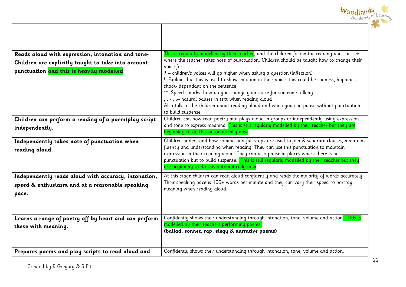|                                                                                                                                                      | Woodlands<br>Academy of Learning                                                                                                                                                                                                                                                                                                                                                                                                                                                                                                                                                                                                                                          |  |
|------------------------------------------------------------------------------------------------------------------------------------------------------|---------------------------------------------------------------------------------------------------------------------------------------------------------------------------------------------------------------------------------------------------------------------------------------------------------------------------------------------------------------------------------------------------------------------------------------------------------------------------------------------------------------------------------------------------------------------------------------------------------------------------------------------------------------------------|--|
| Reads aloud with expression, intonation and tone-<br>Children are explicitly taught to take into account<br>punctuation and this is heavily modelled | This is regularly modelled by their teacher, and the children follow the reading and can see<br>where the teacher takes note of punctuation. Children should be taught how to change their<br>voice for<br>? - children's voices will go higher when asking a question (inflection)<br>!- Explain that this is used to show emotion in their voice- this could be sadness, happiness,<br>shock- dependant on the sentence<br>""- Speech marks- how do you change your voice for someone talking<br>, . - ; :- natural pauses in text when reading aloud<br>Also talk to the children about reading aloud and when you can pause without punctuation<br>to build suspense. |  |
| Children can perform a reading of a poem/play script<br>independently.                                                                               | Children can now read poetry and plays aloud in groups or independently using expression<br>and tone to express meaning. This is still regularly modelled by their teacher but they are<br>beginning to do this automatically now.                                                                                                                                                                                                                                                                                                                                                                                                                                        |  |
| Independently takes note of punctuation when<br>reading aloud.                                                                                       | Children understand how comma and full stops are used to join & separate clauses, maintains<br>fluency and understanding when reading. They can use this punctuation to maintain<br>expression in their reading aloud. They can also pause in places where there is no<br>punctuation but to build suspense. This is still regularly modelled by their teacher but they<br>are beginning to do this automatically now.                                                                                                                                                                                                                                                    |  |
| Independently reads aloud with accuracy, intonation,<br>speed & enthusiasm and at a reasonable speaking<br>pace.                                     | At this stage children can read aloud confidently and reads the majority of words accurately.<br>Their speaking pace is 100+ words per minute and they can vary their speed to portray<br>meaning when reading aloud.                                                                                                                                                                                                                                                                                                                                                                                                                                                     |  |
| Learns a range of poetry off by heart and can perform<br>these with meaning.                                                                         | Confidently shows their understanding through intonation, tone, volume and action. This is<br>modelled by their teachers performing poems.<br>(ballad, sonnet, rap, elegy & narrative poems)                                                                                                                                                                                                                                                                                                                                                                                                                                                                              |  |
| Prepares poems and play scripts to read aloud and                                                                                                    | Confidently shows their understanding through intonation, tone, volume and action.                                                                                                                                                                                                                                                                                                                                                                                                                                                                                                                                                                                        |  |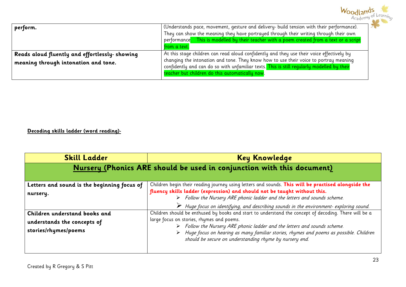|                                                | Woodlands<br>Academy of Learning                                                           |  |
|------------------------------------------------|--------------------------------------------------------------------------------------------|--|
| perform.                                       | (Understands pace, movement, gesture and delivery- build tension with their performance).  |  |
|                                                | They can show the meaning they have portrayed through their writing through their own      |  |
|                                                | performance. This is modelled by their teacher with a poem created from a text or a script |  |
|                                                | from a text.                                                                               |  |
| Reads aloud fluently and effortlessly- showing | At this stage children can read aloud confidently and they use their voice effectively by  |  |
| meaning through intonation and tone.           | changing the intonation and tone. They know how to use their voice to portray meaning      |  |
|                                                | confidently and can do so with unfamiliar texts. This is still regularly modelled by their |  |
|                                                | teacher but children do this automatically now.                                            |  |

#### **Decoding skills ladder (word reading)-**

| <b>Skill Ladder</b>                                                                  | <b>Key Knowledge</b>                                                                                                                                                                                                                                                                                                                                                               |
|--------------------------------------------------------------------------------------|------------------------------------------------------------------------------------------------------------------------------------------------------------------------------------------------------------------------------------------------------------------------------------------------------------------------------------------------------------------------------------|
| Nursery (Phonics ARE should be used in conjunction with this document)               |                                                                                                                                                                                                                                                                                                                                                                                    |
| Letters and sound is the beginning focus of<br>nursery.                              | Children begin their reading journey using letters and sounds. This will be practised alongside the<br>fluency skills ladder (expression) and should not be taught without this.<br>> Follow the Nursery ARE phonic ladder and the letters and sounds scheme.<br>$\triangleright$ Huge focus on identifying, and describing sounds in the environment-exploring sound.             |
| Children understand books and<br>understands the concepts of<br>stories/rhymes/poems | Children should be enthused by books and start to understand the concept of decoding. There will be a<br>large focus on stories, rhymes and poems.<br>Follow the Nursery ARE phonic ladder and the letters and sounds scheme.<br>Huge focus on hearing as many familiar stories, rhymes and poems as possible. Children<br>should be secure on understanding rhyme by nursery end. |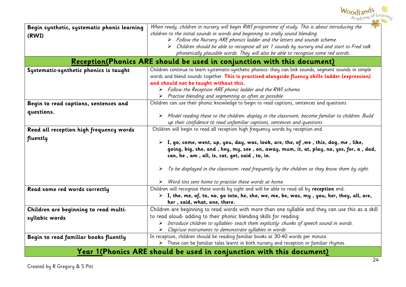|                                                         | Woodlands                                                                                                                                                                                                                                                                                                                                                                                                                                                                                                              |
|---------------------------------------------------------|------------------------------------------------------------------------------------------------------------------------------------------------------------------------------------------------------------------------------------------------------------------------------------------------------------------------------------------------------------------------------------------------------------------------------------------------------------------------------------------------------------------------|
| Begin synthetic, systematic phonic learning<br>(RWI)    | When ready, children in nursery will begin RWI programme of study. This is about introducing the<br>children to the initial sounds in words and beginning to orally sound blending.<br>> Follow the Nursery ARE phonics ladder and the letters and sounds scheme.<br>> Children should be able to recognise all set 1 sounds by nursery end and start to Fred talk<br>phonetically plausible words. They will also be able to recognise some red words.                                                                |
|                                                         | Reception(Phonics ARE should be used in conjunction with this document)                                                                                                                                                                                                                                                                                                                                                                                                                                                |
| Systematic-synthetic phonics is taught                  | Children continue to learn systematic-synthetic phonics- they can link sounds; segment sounds in simple<br>words and blend sounds together. This is practised alongside fluency skills ladder (expression)<br>and should not be taught without this.<br>$\triangleright$ Follow the Reception ARE phonic ladder and the RWI scheme.<br>$\triangleright$ Practise blending and segmenting as often as possible.                                                                                                         |
| Begin to read captions, sentences and<br>questions.     | Children can use their phonic knowledge to begin to read captions, sentences and questions<br>> Model reading these to the children- display in the classroom, become familiar to children. Build<br>up their confidence to read unfamiliar captions, sentences and questions.                                                                                                                                                                                                                                         |
| Read all reception high frequency words<br>fluently     | Children will begin to read all reception high frequency words by reception end.<br>$\triangleright$ I, go, come, went, up, you, day, was, look, are, the, of ,we , this, dog, me , like,<br>going, big, she, and , hey, my, see , on, away, mum, it, at, play, no, yes, for, a , dad,<br>can, he, am, all, is, cat, get, said, to, in.<br>To be displayed in the classroom- read frequently by the children so they know them by sight.<br>➤<br>$\triangleright$ Word tins sent home to practise these words at home. |
| Read some red words correctly                           | Children will recognise these words by sight and will be able to read all by reception end.<br>$\triangleright$ I, the, me, of, to, no, go into, he, she, we, me, be, was, my, you, her, they, all, are,<br>her, said, what, one, there.                                                                                                                                                                                                                                                                               |
| Children are beginning to read multi-<br>syllabic words | Children are beginning to read words with more than one syllable and they can use this as a skill<br>to read aloud- adding to their phonic blending skills for reading.<br>> Introduce children to syllables- teach them explicitly-chunks of speech sound in words.<br>Clap/use instruments to demonstrate syllables in words                                                                                                                                                                                         |
| Begin to read familiar books fluently                   | In reception, children should be reading familiar books at 30-40 words per minute.<br>$\triangleright$ These can be familiar tales learnt in both nursery and reception or familiar rhymes.                                                                                                                                                                                                                                                                                                                            |
|                                                         | <u>Year 1 (Phonics ARE should be used in conjunction with this document)</u>                                                                                                                                                                                                                                                                                                                                                                                                                                           |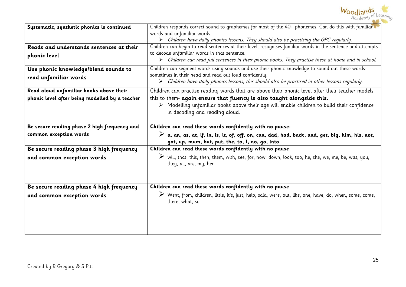| Systematic, synthetic phonics is continued                                                | Children responds correct sound to graphemes for most of the 40+ phonemes. Can do this with familiar<br>words and unfamiliar words.<br>$\triangleright$ Children have daily phonics lessons. They should also be practising the GPC regularly.                                                              |
|-------------------------------------------------------------------------------------------|-------------------------------------------------------------------------------------------------------------------------------------------------------------------------------------------------------------------------------------------------------------------------------------------------------------|
| Reads and understands sentences at their<br>phonic level                                  | Children can begin to read sentences at their level, recognises familiar words in the sentence and attempts<br>to decode unfamiliar words in that sentence.<br>> Children can read full sentences in their phonic books. They practise these at home and in school.                                         |
| Use phonic knowledge/blend sounds to<br>read unfamiliar words                             | Children can segment words using sounds and use their phonic knowledge to sound out these words-<br>sometimes in their head and read out loud confidently.<br>> Children have daily phonics lessons, this should also be practised in other lessons regularly.                                              |
| Read aloud unfamiliar books above their<br>phonic level after being modelled by a teacher | Children can practise reading words that are above their phonic level after their teacher models<br>this to them- again ensure that fluency is also taught alongside this.<br>> Modelling unfamiliar books above their age will enable children to build their confidence<br>in decoding and reading aloud. |
| Be secure reading phase 2 high frequency and                                              | Children can read these words confidently with no pause-                                                                                                                                                                                                                                                    |
| common exception words                                                                    | $\triangleright$ a, an, as, at, if, in, is, it, of, off, on, can, dad, had, back, and, get, big, him, his, not,<br>got, up, mum, but, put, the, to, I, no, go, into                                                                                                                                         |
| Be secure reading phase 3 high frequency                                                  | Children can read these words confidently with no pause                                                                                                                                                                                                                                                     |
| and common exception words                                                                | $\triangleright$ will, that, this, then, them, with, see, for, now, down, look, too, he, she, we, me, be, was, you,<br>they, all, are, my, her                                                                                                                                                              |
| Be secure reading phase 4 high frequency                                                  | Children can read these words confidently with no pause                                                                                                                                                                                                                                                     |
| and common exception words                                                                | $\triangleright$ Went, from, children, little, it's, just, help, said, were, out, like, one, have, do, when, some, come,<br>there, what, so                                                                                                                                                                 |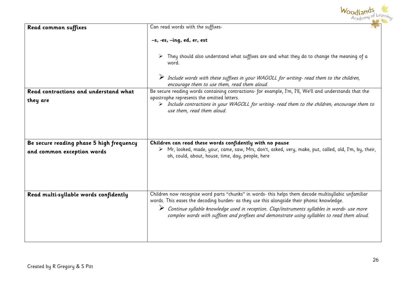

| Read common suffixes                     | Can read words with the suffixes-                                                                                                                                                            |
|------------------------------------------|----------------------------------------------------------------------------------------------------------------------------------------------------------------------------------------------|
|                                          | -s, -es, -ing, ed, er, est                                                                                                                                                                   |
|                                          | They should also understand what suffixes are and what they do to change the meaning of a<br>➤<br>word.                                                                                      |
|                                          | > Include words with these suffixes in your WAGOLL for writing- read them to the children,<br>encourage them to use them, read them aloud.                                                   |
| Read contractions and understand what    | Be secure reading words containing contractions- for example, I'm, I'll, We'll and understands that the                                                                                      |
| they are                                 | apostrophe represents the omitted letters.<br>> Include contractions in your WAGOLL for writing- read them to the children; encourage them to                                                |
|                                          | use them, read them aloud.                                                                                                                                                                   |
|                                          |                                                                                                                                                                                              |
|                                          |                                                                                                                                                                                              |
| Be secure reading phase 5 high frequency | Children can read these words confidently with no pause                                                                                                                                      |
| and common exception words               | > Mr, looked, made, your, came, saw, Mrs, don't, asked, very, make, put, called, old, I'm, by, their,<br>oh, could, about, house, time, day, people, here                                    |
|                                          |                                                                                                                                                                                              |
|                                          |                                                                                                                                                                                              |
|                                          | Children now recognise word parts "chunks" in words- this helps them decode multisyllabic unfamiliar                                                                                         |
| Read multi-syllable words confidently    | words. This eases the decoding burden- as they use this alongside their phonic knowledge.                                                                                                    |
|                                          | Continue syllable knowledge used in reception. Clap/instruments syllables in words- use more<br>complex words with suffixes and prefixes and demonstrate using syllables to read them aloud. |
|                                          |                                                                                                                                                                                              |
|                                          |                                                                                                                                                                                              |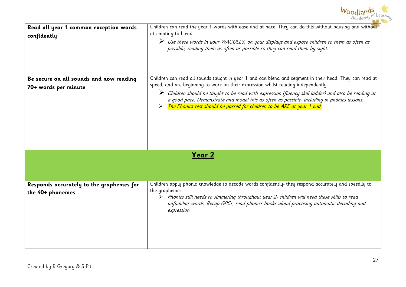|                                                                 | Woodlan <sup>d</sup>                                                                                                                                                                                                                                                                                                                                                                                                                                                             |
|-----------------------------------------------------------------|----------------------------------------------------------------------------------------------------------------------------------------------------------------------------------------------------------------------------------------------------------------------------------------------------------------------------------------------------------------------------------------------------------------------------------------------------------------------------------|
| Read all year 1 common exception words<br>confidently           | Children can read the year 1 words with ease and at pace. They can do this without pausing and without<br>attempting to blend.<br>$\triangleright$ Use these words in your WAGOLLS, on your displays and expose children to them as often as<br>possible, reading them as often as possible so they can read them by sight.                                                                                                                                                      |
| Be secure on all sounds and now reading<br>70+ words per minute | Children can read all sounds taught in year 1 and can blend and segment in their head. They can read at<br>speed, and are beginning to work on their expression whilst reading independently<br>> Children should be taught to be read with expression (fluency skill ladder) and also be reading at<br>a good pace. Demonstrate and model this as often as possible- including in phonics lessons.<br>> The Phonics test should be passed for children to be ARE at year 1 end. |
|                                                                 | Year 2                                                                                                                                                                                                                                                                                                                                                                                                                                                                           |
| Responds accurately to the graphemes for<br>the 40+ phonemes    | Children apply phonic knowledge to decode words confidently- they respond accurately and speedily to<br>the graphemes.<br>> Phonics still needs to simmering throughout year 2- children will need these skills to read<br>unfamiliar words. Recap GPCs, read phonics books aloud practising automatic decoding and<br>expression.                                                                                                                                               |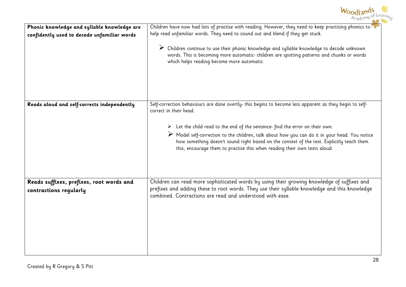| Phonic knowledge and syllable knowledge are<br>confidently used to decode unfamiliar words | Woodlan <sup>®</sup><br>Academy of Lea<br>Children have now had lots of practise with reading. However, they need to keep practising phonics to<br>help read unfamiliar words. They need to sound out and blend if they get stuck.<br>$\triangleright$ Children continue to use their phonic knowledge and syllable knowledge to decode unknown<br>words. This is becoming more automatic- children are spotting patterns and chunks or words<br>which helps reading become more automatic.                   |
|--------------------------------------------------------------------------------------------|---------------------------------------------------------------------------------------------------------------------------------------------------------------------------------------------------------------------------------------------------------------------------------------------------------------------------------------------------------------------------------------------------------------------------------------------------------------------------------------------------------------|
| Reads aloud and self-corrects independently                                                | Self-correction behaviours are done overtly- this begins to become less apparent as they begin to self-<br>correct in their head.<br>$\triangleright$ Let the child read to the end of the sentence- find the error on their own.<br>> Model self-correction to the children, talk about how you can do it in your head. You notice<br>how something doesn't sound right based on the context of the text. Explicitly teach them<br>this, encourage them to practise this when reading their own texts aloud. |
| Reads suffixes, prefixes, root words and<br>contractions regularly                         | Children can read more sophisticated words by using their growing knowledge of suffixes and<br>prefixes and adding these to root words. They use their syllable knowledge and this knowledge<br>combined. Contractions are read and understood with ease.                                                                                                                                                                                                                                                     |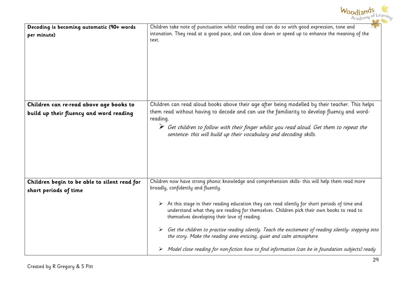| Decoding is becoming automatic (90+ words<br>per minute)                           | Woodlands<br>Academy of Lea<br>Children take note of punctuation whilst reading and can do so with good expression, tone and<br>intonation. They read at a good pace, and can slow down or speed up to enhance the meaning of the<br>text.                                                                                                                                                                                                                                                                                                                                                                                                                                                               |
|------------------------------------------------------------------------------------|----------------------------------------------------------------------------------------------------------------------------------------------------------------------------------------------------------------------------------------------------------------------------------------------------------------------------------------------------------------------------------------------------------------------------------------------------------------------------------------------------------------------------------------------------------------------------------------------------------------------------------------------------------------------------------------------------------|
| Children can re-read above age books to<br>build up their fluency and word reading | Children can read aloud books above their age after being modelled by their teacher. This helps<br>them read without having to decode and can use the familiarity to develop fluency and word-<br>reading.<br>$\triangleright$ Get children to follow with their finger whilst you read aloud. Get them to repeat the<br>sentence- this will build up their vocabulary and decoding skills.                                                                                                                                                                                                                                                                                                              |
| Children begin to be able to silent read for<br>short periods of time              | Children now have strong phonic knowledge and comprehension skills- this will help them read more<br>broadly, confidently and fluently.<br>$\triangleright$ At this stage in their reading education they can read silently for short periods of time and<br>understand what they are reading for themselves. Children pick their own books to read to<br>themselves developing their love of reading.<br>Get the children to practise reading silently. Teach the excitement of reading silently- stepping into<br>➤<br>the story. Make the reading area enticing, quiet and calm atmosphere.<br>Model close reading for non-fiction how to find information (can be in foundation subjects) ready<br>➤ |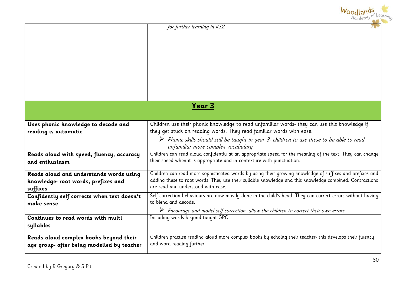|                                                                                            | for further learning in KS2.                                                                                                                                                                                                                              |
|--------------------------------------------------------------------------------------------|-----------------------------------------------------------------------------------------------------------------------------------------------------------------------------------------------------------------------------------------------------------|
|                                                                                            |                                                                                                                                                                                                                                                           |
|                                                                                            |                                                                                                                                                                                                                                                           |
|                                                                                            |                                                                                                                                                                                                                                                           |
|                                                                                            |                                                                                                                                                                                                                                                           |
| Year 3                                                                                     |                                                                                                                                                                                                                                                           |
| Uses phonic knowledge to decode and<br>reading is automatic                                | Children use their phonic knowledge to read unfamiliar words- they can use this knowledge if<br>they get stuck on reading words. They read familiar words with ease.                                                                                      |
|                                                                                            | $\triangleright$ Phonic skills should still be taught in year 3- children to use these to be able to read<br>unfamiliar more complex vocabulary.                                                                                                          |
| Reads aloud with speed, fluency, accuracy<br>and enthusiasm                                | Children can read aloud confidently at an appropriate speed for the meaning of the text. They can change<br>their speed when it is appropriate and in contexture with punctuation.                                                                        |
| Reads aloud and understands words using<br>knowledge- root words, prefixes and<br>suffixes | Children can read more sophisticated words by using their growing knowledge of suffixes and prefixes and<br>adding these to root words. They use their syllable knowledge and this knowledge combined. Contractions<br>are read and understood with ease. |
| Confidently self corrects when text doesn't<br>make sense                                  | Self-correction behaviours are now mostly done in the child's head. They can correct errors without having<br>to blend and decode.                                                                                                                        |
|                                                                                            | $\triangleright$ Encourage and model self correction- allow the children to correct their own errors                                                                                                                                                      |
| Continues to read words with multi<br>syllables                                            | Including words beyond taught GPC                                                                                                                                                                                                                         |
| Reads aloud complex books beyond their<br>age group- after being modelled by teacher       | Children practise reading aloud more complex books by echoing their teacher- this develops their fluency<br>and word reading further.                                                                                                                     |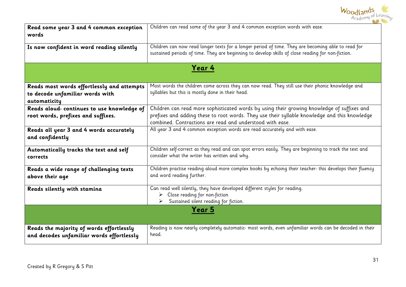

| Read some year 3 and 4 common exception<br>words                                              | Children can read some of the year 3 and 4 common exception words with ease.                                                                                                                                                                              |  |
|-----------------------------------------------------------------------------------------------|-----------------------------------------------------------------------------------------------------------------------------------------------------------------------------------------------------------------------------------------------------------|--|
| Is now confident in word reading silently                                                     | Children can now read longer texts for a longer period of time. They are becoming able to read for<br>sustained periods of time. They are beginning to develop skills of close reading for non-fiction.                                                   |  |
|                                                                                               | Year 4                                                                                                                                                                                                                                                    |  |
| Reads most words effortlessly and attempts<br>to decode unfamiliar words with<br>automaticity | Most words the children come across they can now read. They still use their phonic knowledge and<br>syllables but this is mostly done in their head.                                                                                                      |  |
| Reads aloud-continues to use knowledge of<br>root words, prefixes and suffixes.               | Children can read more sophisticated words by using their growing knowledge of suffixes and<br>prefixes and adding these to root words. They use their syllable knowledge and this knowledge<br>combined. Contractions are read and understood with ease. |  |
| Reads all year 3 and 4 words accurately<br>and confidently                                    | All year 3 and 4 common exception words are read accurately and with ease.                                                                                                                                                                                |  |
| Automatically tracks the text and self<br>corrects                                            | Children self-correct as they read and can spot errors easily. They are beginning to track the text and<br>consider what the writer has written and why.                                                                                                  |  |
| Reads a wide range of challenging texts<br>above their age                                    | Children practise reading aloud more complex books by echoing their teacher- this develops their fluency<br>and word reading further.                                                                                                                     |  |
| Reads silently with stamina                                                                   | Can read well silently, they have developed different styles for reading.<br>Close reading for non-fiction<br>➤<br>Sustained silent reading for fiction.<br>➤                                                                                             |  |
| Year 5                                                                                        |                                                                                                                                                                                                                                                           |  |
| Reads the majority of words effortlessly<br>and decodes unfamiliar words effortlessly         | Reading is now nearly completely automatic- most words, even unfamiliar words can be decoded in their<br>head.                                                                                                                                            |  |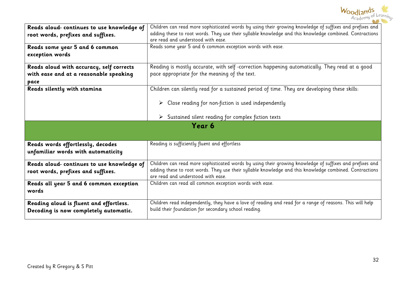

| Reads aloud-continues to use knowledge of | Children can read more sophisticated words by using their growing knowledge of suffixes and prefixes and |
|-------------------------------------------|----------------------------------------------------------------------------------------------------------|
| root words, prefixes and suffixes.        | adding these to root words. They use their syllable knowledge and this knowledge combined. Contractions  |
|                                           | are read and understood with ease.                                                                       |
| Reads some year 5 and 6 common            | Reads some year 5 and 6 common exception words with ease.                                                |
| exception words                           |                                                                                                          |
|                                           |                                                                                                          |
| Reads aloud with accuracy, self corrects  | Reading is mostly accurate, with self -correction happening automatically. They read at a good           |
| with ease and at a reasonable speaking    | pace appropriate for the meaning of the text.                                                            |
| pace                                      |                                                                                                          |
| Reads silently with stamina               | Children can silently read for a sustained period of time. They are developing these skills:             |
|                                           |                                                                                                          |
|                                           | Close reading for non-fiction is used independently<br>➤                                                 |
|                                           |                                                                                                          |
|                                           | $\triangleright$ Sustained silent reading for complex fiction texts                                      |
| Year 6                                    |                                                                                                          |
|                                           |                                                                                                          |
|                                           |                                                                                                          |
|                                           |                                                                                                          |
| Reads words effortlessly, decodes         | Reading is sufficiently fluent and effortless                                                            |
|                                           |                                                                                                          |
| unfamiliar words with automaticity        |                                                                                                          |
| Reads aloud-continues to use knowledge of | Children can read more sophisticated words by using their growing knowledge of suffixes and prefixes and |
| root words, prefixes and suffixes.        | adding these to root words. They use their syllable knowledge and this knowledge combined. Contractions  |
|                                           | are read and understood with ease.                                                                       |
| Reads all year 5 and 6 common exception   | Children can read all common exception words with ease.                                                  |
| words                                     |                                                                                                          |
|                                           |                                                                                                          |
| Reading aloud is fluent and effortless.   | Children read independently, they have a love of reading and read for a range of reasons. This will help |
| Decoding is now completely automatic.     | build their foundation for secondary school reading.                                                     |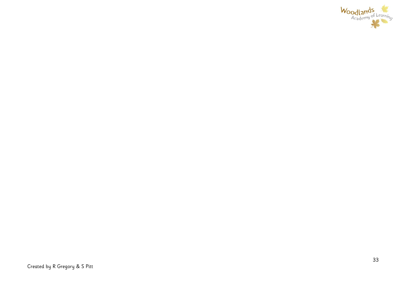